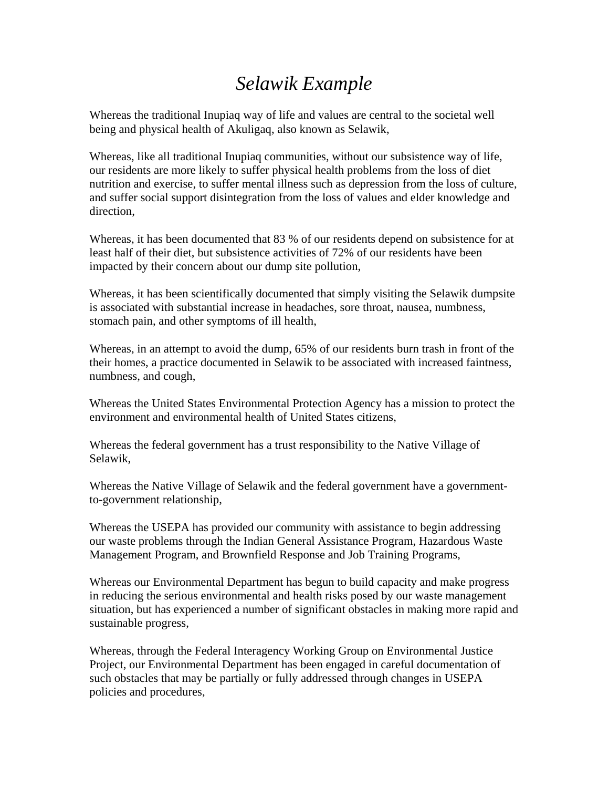## *Selawik Example*

Whereas the traditional Inupiaq way of life and values are central to the societal well being and physical health of Akuligaq, also known as Selawik,

Whereas, like all traditional Inupiaq communities, without our subsistence way of life, our residents are more likely to suffer physical health problems from the loss of diet nutrition and exercise, to suffer mental illness such as depression from the loss of culture, and suffer social support disintegration from the loss of values and elder knowledge and direction,

Whereas, it has been documented that 83 % of our residents depend on subsistence for at least half of their diet, but subsistence activities of 72% of our residents have been impacted by their concern about our dump site pollution,

Whereas, it has been scientifically documented that simply visiting the Selawik dumpsite is associated with substantial increase in headaches, sore throat, nausea, numbness, stomach pain, and other symptoms of ill health,

Whereas, in an attempt to avoid the dump, 65% of our residents burn trash in front of the their homes, a practice documented in Selawik to be associated with increased faintness, numbness, and cough,

Whereas the United States Environmental Protection Agency has a mission to protect the environment and environmental health of United States citizens,

Whereas the federal government has a trust responsibility to the Native Village of Selawik,

Whereas the Native Village of Selawik and the federal government have a governmentto-government relationship,

Whereas the USEPA has provided our community with assistance to begin addressing our waste problems through the Indian General Assistance Program, Hazardous Waste Management Program, and Brownfield Response and Job Training Programs,

Whereas our Environmental Department has begun to build capacity and make progress in reducing the serious environmental and health risks posed by our waste management situation, but has experienced a number of significant obstacles in making more rapid and sustainable progress,

Whereas, through the Federal Interagency Working Group on Environmental Justice Project, our Environmental Department has been engaged in careful documentation of such obstacles that may be partially or fully addressed through changes in USEPA policies and procedures,